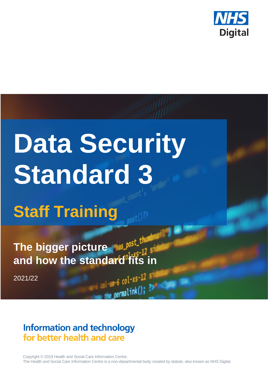

# **Data Security Standard 3**

**Staff Training** 

The bigger picture **The bigger picture and how the standard fits in**

2021/22

## **Information and technology** for better health and care

Copyright © 2019 Health and Social Care Information Centre. The Health and Social Care Information Centre is a non-departmental body created by statute, also known as NHS Digital.

 $-6$  col-xs-12 s

 $permaink()$ ;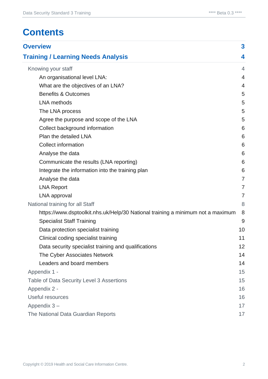# **Contents**

| <b>Overview</b>                                                                 |                |  |
|---------------------------------------------------------------------------------|----------------|--|
| <b>Training / Learning Needs Analysis</b>                                       | 4              |  |
| Knowing your staff                                                              | 4              |  |
| An organisational level LNA:                                                    | $\overline{4}$ |  |
| What are the objectives of an LNA?                                              | $\overline{4}$ |  |
| <b>Benefits &amp; Outcomes</b>                                                  | 5              |  |
| <b>LNA</b> methods                                                              | 5              |  |
| The LNA process                                                                 | 5              |  |
| Agree the purpose and scope of the LNA                                          | 5              |  |
| Collect background information                                                  | 6              |  |
| Plan the detailed LNA                                                           | 6              |  |
| <b>Collect information</b>                                                      | 6              |  |
| Analyse the data                                                                | 6              |  |
| Communicate the results (LNA reporting)                                         | 6              |  |
| Integrate the information into the training plan                                | 6              |  |
| Analyse the data                                                                | $\overline{7}$ |  |
| <b>LNA Report</b>                                                               | $\overline{7}$ |  |
| LNA approval                                                                    | $\overline{7}$ |  |
| National training for all Staff                                                 | 8              |  |
| https://www.dsptoolkit.nhs.uk/Help/30 National training a minimum not a maximum | 8              |  |
| <b>Specialist Staff Training</b>                                                | 9              |  |
| Data protection specialist training                                             | 10             |  |
| Clinical coding specialist training                                             | 11             |  |
| Data security specialist training and qualifications                            | 12             |  |
| The Cyber Associates Network                                                    | 14             |  |
| Leaders and board members                                                       | 14             |  |
| Appendix 1 -                                                                    | 15             |  |
| Table of Data Security Level 3 Assertions                                       | 15             |  |
| Appendix 2 -                                                                    | 16             |  |
| Useful resources                                                                |                |  |
| Appendix 3-                                                                     |                |  |
| The National Data Guardian Reports                                              | 17             |  |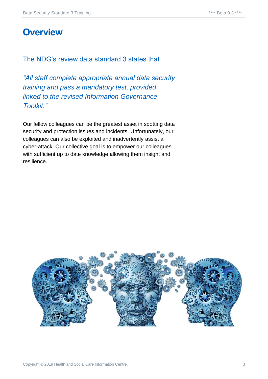## <span id="page-2-0"></span>**Overview**

#### The NDG's review data standard 3 states that

*"All staff complete appropriate annual data security training and pass a mandatory test, provided linked to the revised Information Governance Toolkit."*

Our fellow colleagues can be the greatest asset in spotting data security and protection issues and incidents. Unfortunately, our colleagues can also be exploited and inadvertently assist a cyber-attack. Our collective goal is to empower our colleagues with sufficient up to date knowledge allowing them insight and resilience.

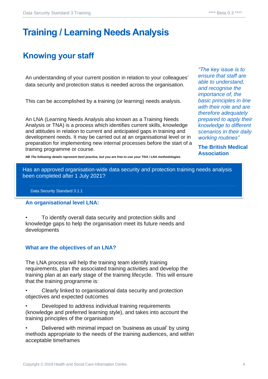# <span id="page-3-0"></span>**Training / Learning Needs Analysis**

## <span id="page-3-1"></span>**Knowing your staff**

An understanding of your current position in relation to your colleagues' data security and protection status is needed across the organisation.

This can be accomplished by a training (or learning) needs analysis.

An LNA (Learning Needs Analysis also known as a Training Needs Analysis or TNA) is a process which identifies current skills, knowledge and attitudes in relation to current and anticipated gaps in training and development needs. It may be carried out at an organisational level or in preparation for implementing new internal processes before the start of a training programme or course.

*"The key issue is to ensure that staff are able to understand, and recognise the importance of, the basic principles in line with their role and are therefore adequately prepared to apply their knowledge to different scenarios in their daily working routines"*

**The British Medical Association**

*NB The following details represent best practise, but you are free to use your TNA / LNA methodologies*.

Has an approved organisation-wide data security and protection training needs analysis been completed after 1 July 2021?

Data Security Standard 3.1.1

#### **An organisational level LNA:**

• To identify overall data security and protection skills and knowledge gaps to help the organisation meet its future needs and developments

#### **What are the objectives of an LNA?**

The LNA process will help the training team identify training requirements, plan the associated training activities and develop the training plan at an early stage of the training lifecycle. This will ensure that the training programme is:

- Clearly linked to organisational data security and protection objectives and expected outcomes
- Developed to address individual training requirements (knowledge and preferred learning style), and takes into account the training principles of the organisation
- Delivered with minimal impact on 'business as usual' by using methods appropriate to the needs of the training audiences, and within acceptable timeframes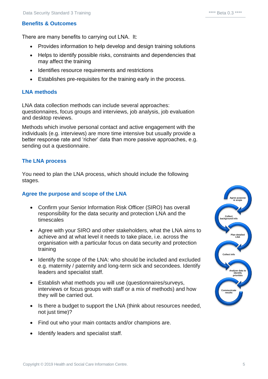#### **Benefits & Outcomes**

There are many benefits to carrying out LNA. It:

- Provides information to help develop and design training solutions
- Helps to identify possible risks, constraints and dependencies that may affect the training
- Identifies resource requirements and restrictions
- Establishes pre-requisites for the training early in the process.

#### **LNA methods**

LNA data collection methods can include several approaches: questionnaires, focus groups and interviews, job analysis, job evaluation and desktop reviews.

Methods which involve personal contact and active engagement with the individuals (e.g. interviews) are more time intensive but usually provide a better response rate and 'richer' data than more passive approaches, e.g. sending out a questionnaire.

#### **The LNA process**

You need to plan the LNA process, which should include the following stages.

#### **Agree the purpose and scope of the LNA**

- Confirm your Senior Information Risk Officer (SIRO) has overall responsibility for the data security and protection LNA and the timescales
- Agree with your SIRO and other stakeholders, what the LNA aims to achieve and at what level it needs to take place, i.e. across the organisation with a particular focus on data security and protection training
- Identify the scope of the LNA: who should be included and excluded e.g. maternity / paternity and long-term sick and secondees. Identify leaders and specialist staff.
- Establish what methods you will use (questionnaires/surveys, interviews or focus groups with staff or a mix of methods) and how they will be carried out.
- Is there a budget to support the LNA (think about resources needed, not just time)?
- Find out who your main contacts and/or champions are.
- Identify leaders and specialist staff.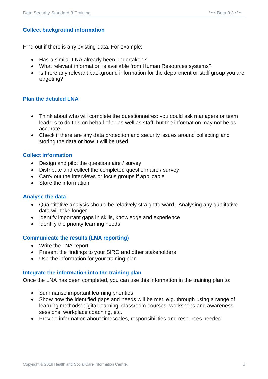#### <span id="page-5-0"></span>**Collect background information**

Find out if there is any existing data. For example:

- Has a similar LNA already been undertaken?
- What relevant information is available from Human Resources systems?
- Is there any relevant background information for the department or staff group you are targeting?

#### <span id="page-5-1"></span>**Plan the detailed LNA**

- Think about who will complete the questionnaires: you could ask managers or team leaders to do this on behalf of or as well as staff, but the information may not be as accurate.
- Check if there are any data protection and security issues around collecting and storing the data or how it will be used

#### <span id="page-5-2"></span>**Collect information**

- Design and pilot the questionnaire / survey
- Distribute and collect the completed questionnaire / survey
- Carry out the interviews or focus groups if applicable
- Store the information

#### <span id="page-5-3"></span>**Analyse the data**

- Quantitative analysis should be relatively straightforward. Analysing any qualitative data will take longer
- Identify important gaps in skills, knowledge and experience
- Identify the priority learning needs

#### <span id="page-5-4"></span>**Communicate the results (LNA reporting)**

- Write the LNA report
- Present the findings to your SIRO and other stakeholders
- Use the information for your training plan

#### <span id="page-5-5"></span>**Integrate the information into the training plan**

Once the LNA has been completed, you can use this information in the training plan to:

- Summarise important learning priorities
- Show how the identified gaps and needs will be met. e.g. through using a range of learning methods: digital learning, classroom courses, workshops and awareness sessions, workplace coaching, etc.
- Provide information about timescales, responsibilities and resources needed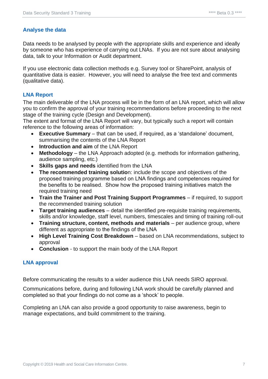#### <span id="page-6-0"></span>**Analyse the data**

Data needs to be analysed by people with the appropriate skills and experience and ideally by someone who has experience of carrying out LNAs. If you are not sure about analysing data, talk to your Information or Audit department.

If you use electronic data collection methods e.g. Survey tool or SharePoint, analysis of quantitative data is easier. However, you will need to analyse the free text and comments (qualitative data).

#### <span id="page-6-1"></span>**LNA Report**

The main deliverable of the LNA process will be in the form of an LNA report, which will allow you to confirm the approval of your training recommendations before proceeding to the next stage of the training cycle (Design and Development).

The extent and format of the LNA Report will vary, but typically such a report will contain reference to the following areas of information:

- **Executive Summary** that can be used, if required, as a 'standalone' document, summarising the contents of the LNA Report
- **Introduction and aim** of the LNA Report
- **Methodology** the LNA Approach adopted (e.g. methods for information gathering, audience sampling, etc.)
- **Skills gaps and needs** identified from the LNA
- **The recommended training solutio**n: include the scope and objectives of the proposed training programme based on LNA findings and competences required for the benefits to be realised. Show how the proposed training initiatives match the required training need
- **Train the Trainer and Post Training Support Programmes** if required, to support the recommended training solution
- **Target training audiences** detail the identified pre-requisite training requirements, skills and/or knowledge, staff level, numbers, timescales and timing of training roll-out
- **Training structure, content, methods and materials**  per audience group, where different as appropriate to the findings of the LNA
- **High Level Training Cost Breakdown** based on LNA recommendations, subject to approval
- **Conclusion** to support the main body of the LNA Report

#### <span id="page-6-2"></span>**LNA approval**

Before communicating the results to a wider audience this LNA needs SIRO approval.

Communications before, during and following LNA work should be carefully planned and completed so that your findings do not come as a 'shock' to people.

Completing an LNA can also provide a good opportunity to raise awareness, begin to manage expectations, and build commitment to the training.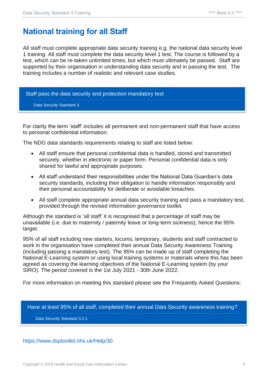## <span id="page-7-0"></span>**National training for all Staff**

All staff must complete appropriate data security training e.g. the national data security level 1 training. All staff must complete the data security level 1 test. The course is followed by a test, which can be re-taken unlimited times, but which must ultimately be passed. Staff are supported by their organisation in understanding data security and in passing the test. The training includes a number of realistic and relevant case studies.

Staff pass the data security and protection mandatory test Data Security Standard 3.

For clarity the term 'staff' includes all permanent and non-permanent staff that have access to personal confidential information.

The NDG data standards requirements relating to staff are listed below:

- All staff ensure that personal confidential data is handled, stored and transmitted securely, whether in electronic or paper form. Personal confidential data is only shared for lawful and appropriate purposes.
- All staff understand their responsibilities under the National Data Guardian's data security standards, including their obligation to handle information responsibly and their personal accountability for deliberate or avoidable breaches.
- All staff complete appropriate annual data security training and pass a mandatory test, provided through the revised information governance toolkit.

Although the standard is 'all staff' it is recognised that a percentage of staff may be unavailable (i.e. due to maternity / paternity leave or long-term sickness), hence the 95% target.

95% of all staff including new starters, locums, temporary, students and staff contracted to work in the organisation have completed their annual Data Security Awareness Training (including passing a mandatory test). The 95% can be made up of staff completing the National E-Learning system or using local training systems or materials where this has been agreed as covering the learning objectives of the National E-Learning system (by your SIRO). The period covered is the 1st July 2021 - 30th June 2022.

For more information on meeting this standard please see the Frequently Asked Questions:

Have at least 95% of all staff, completed their annual Data Security awareness training? Data Security Standard 3.2.1

<span id="page-7-1"></span><https://www.dsptoolkit.nhs.uk/Help/30>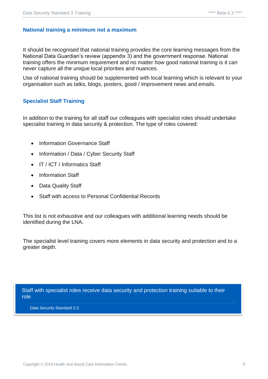#### **National training a minimum not a maximum**

It should be recognised that national training provides the core learning messages from the National Data Guardian's review (appendix 3) and the government response. National training offers the minimum requirement and no matter how good national training is it can never capture all the unique local priorities and nuances.

Use of national training should be supplemented with local learning which is relevant to your organisation such as talks, blogs, posters, good / improvement news and emails.

#### <span id="page-8-0"></span>**Specialist Staff Training**

In addition to the training for all staff our colleagues with specialist roles should undertake specialist training in data security & protection. The type of roles covered:

- Information Governance Staff
- Information / Data / Cyber Security Staff
- IT / ICT / Informatics Staff
- Information Staff
- Data Quality Staff
- Staff with access to Personal Confidential Records

This list is not exhaustive and our colleagues with additional learning needs should be identified during the LNA.

The specialist level training covers more elements in data security and protection and to a greater depth.

Staff with specialist roles receive data security and protection training suitable to their role

Data Security Standard 3.3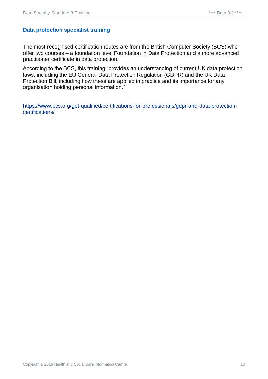#### <span id="page-9-0"></span>**Data protection specialist training**

The most recognised certification routes are from the British Computer Society (BCS) who offer two courses – a foundation level Foundation in Data Protection and a more advanced practitioner certificate in data protection.

According to the BCS, this training "provides an understanding of current UK data protection laws, including the EU General Data Protection Regulation (GDPR) and the UK Data Protection Bill, including how these are applied in practice and its importance for any organisation holding personal information."

[https://www.bcs.org/get-qualified/certifications-for-professionals/gdpr-and-data-protection](https://www.bcs.org/get-qualified/certifications-for-professionals/gdpr-and-data-protection-certifications/)[certifications/](https://www.bcs.org/get-qualified/certifications-for-professionals/gdpr-and-data-protection-certifications/)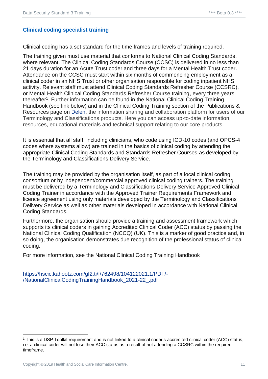#### <span id="page-10-0"></span>**Clinical coding specialist training**

Clinical coding has a set standard for the time frames and levels of training required.

The training given must use material that conforms to National Clinical Coding Standards, where relevant. The Clinical Coding Standards Course (CCSC) is delivered in no less than 21 days duration for an Acute Trust coder and three days for a Mental Health Trust coder. Attendance on the CCSC must start within six months of commencing employment as a clinical coder in an NHS Trust or other organisation responsible for coding inpatient NHS activity. Relevant staff must attend Clinical Coding Standards Refresher Course (CCSRC), or Mental Health Clinical Coding Standards Refresher Course training, every three years thereafter<sup>1</sup>. Further information can be found in the National Clinical Coding Training Handbook (see link below) and in the Clinical Coding Training section of the Publications & Resources page on [Delen,](https://hscic.kahootz.com/connect.ti/t_c_home/view?objectId=16878800) the information sharing and collaboration platform for users of our Terminology and Classifications products. Here you can access up-to-date information, resources, educational materials and technical support relating to our core products.

It is essential that all staff, including clinicians, who code using ICD-10 codes (and OPCS-4 codes where systems allow) are trained in the basics of clinical coding by attending the appropriate Clinical Coding Standards and Standards Refresher Courses as developed by the Terminology and Classifications Delivery Service.

The training may be provided by the organisation itself, as part of a local clinical coding consortium or by independent/commercial approved clinical coding trainers. The training must be delivered by a Terminology and Classifications Delivery Service Approved Clinical Coding Trainer in accordance with the Approved Trainer Requirements Framework and licence agreement using only materials developed by the Terminology and Classifications Delivery Service as well as other materials developed in accordance with National Clinical Coding Standards.

Furthermore, the organisation should provide a training and assessment framework which supports its clinical coders in gaining Accredited Clinical Coder (ACC) status by passing the National Clinical Coding Qualification (NCCQ) (UK). This is a marker of good practice and, in so doing, the organisation demonstrates due recognition of the professional status of clinical coding.

For more information, see the National Clinical Coding Training Handbook

[https://hscic.kahootz.com/gf2.ti/f/762498/104122021.1/PDF/-](https://hscic.kahootz.com/gf2.ti/f/762498/104122021.1/PDF/-/NationalClinicalCodingTrainingHandbook_2021-22_.pdf) [/NationalClinicalCodingTrainingHandbook\\_2021-22\\_.pdf](https://hscic.kahootz.com/gf2.ti/f/762498/104122021.1/PDF/-/NationalClinicalCodingTrainingHandbook_2021-22_.pdf)

<sup>1</sup> This is a DSP Toolkit requirement and is not linked to a clinical coder's accredited clinical coder (ACC) status, i.e. a clinical coder will not lose their ACC status as a result of not attending a CCSRC within the required timeframe.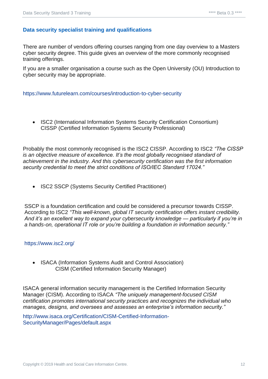#### <span id="page-11-0"></span>**Data security specialist training and qualifications**

There are number of vendors offering courses ranging from one day overview to a Masters cyber security degree. This guide gives an overview of the more commonly recognised training offerings.

If you are a smaller organisation a course such as the Open University (OU) Introduction to cyber security may be appropriate.

#### <https://www.futurelearn.com/courses/introduction-to-cyber-security>

• ISC2 (International Information Systems Security Certification Consortium) CISSP (Certified Information Systems Security Professional)

Probably the most commonly recognised is the ISC2 CISSP. According to ISC2 *"The CISSP is an objective measure of excellence. It's the most globally recognised standard of achievement in the industry. And this cybersecurity certification was the first information security credential to meet the strict conditions of ISO/IEC Standard 17024."* 

• ISC2 SSCP (Systems Security Certified Practitioner)

SSCP is a foundation certification and could be considered a precursor towards CISSP. According to ISC2 *"This well-known, global IT security certification offers instant credibility. And it's an excellent way to expand your cybersecurity knowledge — particularly if you're in a hands-on, operational IT role or you're building a foundation in information security."*

#### <https://www.isc2.org/>

• ISACA (Information Systems Audit and Control Association) CISM (Certified Information Security Manager)

ISACA general information security management is the Certified Information Security Manager (CISM). According to ISACA *"The uniquely management-focused CISM certification promotes international security practices and recognizes the individual who manages, designs, and oversees and assesses an enterprise's information security."*

[http://www.isaca.org/Certification/CISM-Certified-Information-](http://www.isaca.org/Certification/CISM-Certified-Information-SecurityManager/Pages/default.aspx)[SecurityManager/Pages/default.aspx](http://www.isaca.org/Certification/CISM-Certified-Information-SecurityManager/Pages/default.aspx)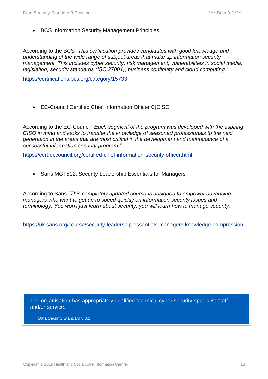• BCS Information Security Management Principles

According to the BCS *"This certification provides candidates with good knowledge and understanding of the wide range of subject areas that make up information security management. This includes cyber security, risk management, vulnerabilities in social media, legislation, security standards (ISO 27001), business continuity and cloud computing."*

<https://certifications.bcs.org/category/15733>

• EC-Council Certified Chief Information Officer C|CISO

According to the EC-Council *"Each segment of the program was developed with the aspiring CISO in mind and looks to transfer the knowledge of seasoned professionals to the next generation in the areas that are most critical in the development and maintenance of a successful information security program."*

<https://cert.eccouncil.org/certified-chief-information-security-officer.html>

• Sans MGT512: Security Leadership Essentials for Managers

According to Sans *"This completely updated course is designed to empower advancing managers who want to get up to speed quickly on information security issues and terminology. You won't just learn about security, you will learn how to manage security."*

<https://uk.sans.org/course/security-leadership-essentials-managers-knowledge-compression>

The organisation has appropriately qualified technical cyber security specialist staff and/or service.

Data Security Standard 3.3.2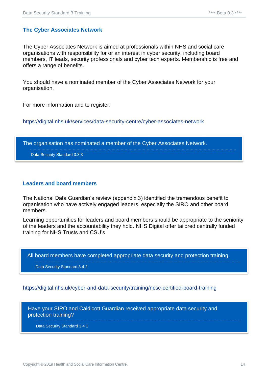#### <span id="page-13-0"></span>**The Cyber Associates Network**

The Cyber Associates Network is aimed at professionals within NHS and social care organisations with responsibility for or an interest in cyber security, including board members, IT leads, security professionals and cyber tech experts. Membership is free and offers a range of benefits.

You should have a nominated member of the Cyber Associates Network for your organisation.

For more information and to register:

<https://digital.nhs.uk/services/data-security-centre/cyber-associates-network>

The organisation has nominated a member of the Cyber Associates Network.

Data Security Standard 3.3.3

#### <span id="page-13-1"></span>**Leaders and board members**

The National Data Guardian's review (appendix 3) identified the tremendous benefit to organisation who have actively engaged leaders, especially the SIRO and other board members.

Learning opportunities for leaders and board members should be appropriate to the seniority of the leaders and the accountability they hold. NHS Digital offer tailored centrally funded training for NHS Trusts and CSU's

All board members have completed appropriate data security and protection training.

Data Security Standard 3.4.2

<https://digital.nhs.uk/cyber-and-data-security/training/ncsc-certified-board-training>

Have your SIRO and Caldicott Guardian received appropriate data security and protection training?

Data Security Standard 3.4.1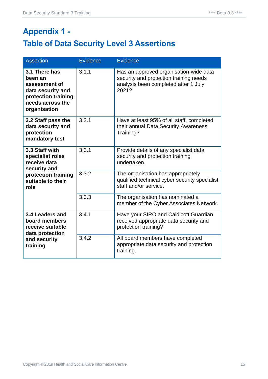# <span id="page-14-1"></span><span id="page-14-0"></span>**Appendix 1 - Table of Data Security Level 3 Assertions**

| <b>Assertion</b>                                                                                                          | <b>Evidence</b> | <b>Evidence</b>                                                                                                                   |
|---------------------------------------------------------------------------------------------------------------------------|-----------------|-----------------------------------------------------------------------------------------------------------------------------------|
| 3.1 There has<br>been an<br>assessment of<br>data security and<br>protection training<br>needs across the<br>organisation | 3.1.1           | Has an approved organisation-wide data<br>security and protection training needs<br>analysis been completed after 1 July<br>2021? |
| 3.2 Staff pass the<br>data security and<br>protection<br>mandatory test                                                   | 3.2.1           | Have at least 95% of all staff, completed<br>their annual Data Security Awareness<br>Training?                                    |
| 3.3 Staff with<br>specialist roles<br>receive data<br>security and<br>protection training<br>suitable to their<br>role    | 3.3.1           | Provide details of any specialist data<br>security and protection training<br>undertaken.                                         |
|                                                                                                                           | 3.3.2           | The organisation has appropriately<br>qualified technical cyber security specialist<br>staff and/or service.                      |
|                                                                                                                           | 3.3.3           | The organisation has nominated a<br>member of the Cyber Associates Network.                                                       |
| 3.4 Leaders and<br>board members<br>receive suitable<br>data protection<br>and security<br>training                       | 3.4.1           | Have your SIRO and Caldicott Guardian<br>received appropriate data security and<br>protection training?                           |
|                                                                                                                           | 3.4.2           | All board members have completed<br>appropriate data security and protection<br>training.                                         |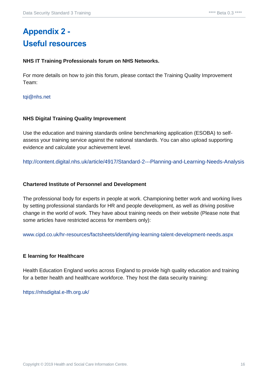# <span id="page-15-1"></span><span id="page-15-0"></span>**Appendix 2 - Useful resources**

#### **NHS IT Training Professionals forum on NHS Networks.**

For more details on how to join this forum, please contact the Training Quality Improvement Team:

#### [tqi@nhs.net](mailto:tqi@nhs.net)

#### **NHS Digital Training Quality Improvement**

Use the education and training standards online benchmarking application (ESOBA) to selfassess your training service against the national standards. You can also upload supporting evidence and calculate your achievement level.

<http://content.digital.nhs.uk/article/4917/Standard-2---Planning-and-Learning-Needs-Analysis>

#### **Chartered Institute of Personnel and Development**

The professional body for experts in people at work. Championing better work and working lives by setting professional standards for HR and people development, as well as driving positive change in the world of work. They have about training needs on their website (Please note that some articles have restricted access for members only):

[www.cipd.co.uk/hr-resources/factsheets/identifying-learning-talent-development-needs.aspx](http://www.cipd.co.uk/hr-resources/factsheets/identifying-learning-talent-development-needs.aspx)

#### **E learning for Healthcare**

Health Education England works across England to provide high quality education and training for a better health and healthcare workforce. They host the data security training:

<https://nhsdigital.e-lfh.org.uk/>